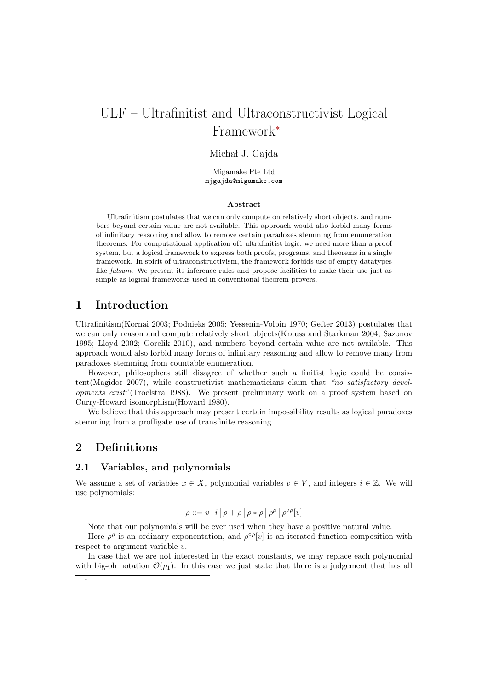# ULF – Ultrafinitist and Ultraconstructivist Logical Framework<sup>∗</sup>

### Michał J. Gajda

Migamake Pte Ltd mjgajda@migamake.com

#### Abstract

Ultrafinitism postulates that we can only compute on relatively short objects, and numbers beyond certain value are not available. This approach would also forbid many forms of infinitary reasoning and allow to remove certain paradoxes stemming from enumeration theorems. For computational application of1 ultrafinitist logic, we need more than a proof system, but a logical framework to express both proofs, programs, and theorems in a single framework. In spirit of ultraconstructivism, the framework forbids use of empty datatypes like *falsum*. We present its inference rules and propose facilities to make their use just as simple as logical frameworks used in conventional theorem provers.

# 1 Introduction

Ultrafinitism(Kornai 2003; Podnieks 2005; Yessenin-Volpin 1970; Gefter 2013) postulates that we can only reason and compute relatively short objects(Krauss and Starkman 2004; Sazonov 1995; Lloyd 2002; Gorelik 2010), and numbers beyond certain value are not available. This approach would also forbid many forms of infinitary reasoning and allow to remove many from paradoxes stemming from countable enumeration.

However, philosophers still disagree of whether such a finitist logic could be consistent(Magidor 2007), while constructivist mathematicians claim that "no satisfactory developments exist"(Troelstra 1988). We present preliminary work on a proof system based on Curry-Howard isomorphism(Howard 1980).

We believe that this approach may present certain impossibility results as logical paradoxes stemming from a profligate use of transfinite reasoning.

## 2 Definitions

### 2.1 Variables, and polynomials

We assume a set of variables  $x \in X$ , polynomial variables  $v \in V$ , and integers  $i \in \mathbb{Z}$ . We will use polynomials:

$$
\rho ::= v | i | \rho + \rho | \rho * \rho | \rho^{\rho} | \rho^{\circ \rho} [v]
$$

Note that our polynomials will be ever used when they have a positive natural value.

Here  $\rho^{\rho}$  is an ordinary exponentation, and  $\rho^{\circ \rho}[v]$  is an iterated function composition with respect to argument variable v.

In case that we are not interested in the exact constants, we may replace each polynomial with big-oh notation  $\mathcal{O}(\rho_1)$ . In this case we just state that there is a judgement that has all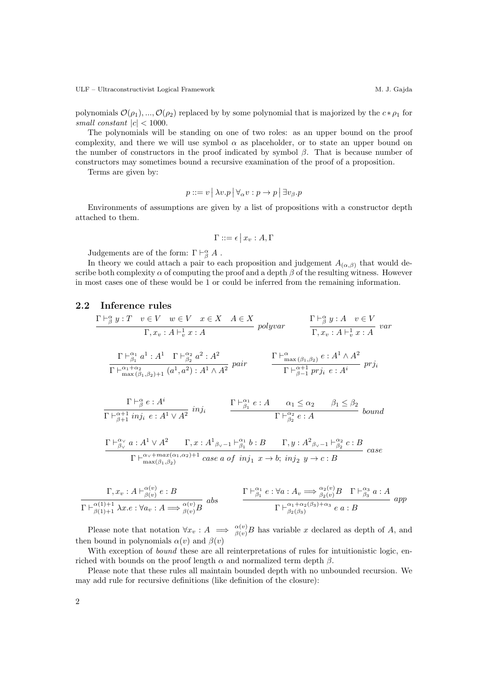ULF – Ultraconstructivist Logical Framework M. J. Gajda

polynomials  $\mathcal{O}(\rho_1), ..., \mathcal{O}(\rho_2)$  replaced by by some polynomial that is majorized by the  $c * \rho_1$  for small constant  $|c| < 1000$ .

The polynomials will be standing on one of two roles: as an upper bound on the proof complexity, and there we will use symbol  $\alpha$  as placeholder, or to state an upper bound on the number of constructors in the proof indicated by symbol  $\beta$ . That is because number of constructors may sometimes bound a recursive examination of the proof of a proposition.

Terms are given by:

$$
p ::= v | \lambda v.p | \forall_{\alpha} v : p \to p | \exists v_{\beta}.p
$$

Environments of assumptions are given by a list of propositions with a constructor depth attached to them.

$$
\Gamma ::= \epsilon \, \big| \, x_v : A, \Gamma
$$

Judgements are of the form:  $\Gamma \vdash^{\alpha}_{\beta} A$ .

In theory we could attach a pair to each proposition and judgement  $A_{(\alpha,\beta)}$  that would describe both complexity  $\alpha$  of computing the proof and a depth  $\beta$  of the resulting witness. However in most cases one of these would be 1 or could be inferred from the remaining information.

### 2.2 Inference rules

$$
\frac{\Gamma \vdash_{\beta}^{\alpha} y : T \quad v \in V \quad w \in V \quad x \in X \quad A \in X}{\Gamma, x_v : A \vdash_v^1 x : A} \quad \text{polyvar} \quad \frac{\Gamma \vdash_{\beta}^{\alpha} y : A \quad v \in V}{\Gamma, x_v : A \vdash_v^1 x : A} \quad \text{var}
$$
\n
$$
\frac{\Gamma \vdash_{\beta_1}^{\alpha_1} a^1 : A^1 \quad \Gamma \vdash_{\beta_2}^{\alpha_2} a^2 : A^2}{\Gamma \vdash_{\max(\beta_1, \beta_2) + 1}^{\alpha_1 + \alpha_2} (a^1, a^2) : A^1 \wedge A^2} \quad \text{pair} \quad \frac{\Gamma \vdash_{\max(\beta_1, \beta_2)}^{\alpha} e : A^1 \wedge A^2}{\Gamma \vdash_{\beta-1}^{\alpha+1} \text{ pri}_i e : A^i} \quad \text{pri}
$$

$$
\frac{\Gamma \vdash^{\alpha}_{\beta} e : A^{i}}{\Gamma \vdash^{\alpha+1}_{\beta+1} inj_i \quad e : A^1 \vee A^2} \; inj_i \qquad \frac{\Gamma \vdash^{\alpha_1}_{\beta_1} e : A \quad \alpha_1 \leq \alpha_2 \quad \beta_1 \leq \beta_2}{\Gamma \vdash^{\alpha_2}_{\beta_2} e : A} \; bound
$$

$$
\frac{\Gamma \vdash^{\alpha\vee}_{\beta\vee} a:A^1 \vee A^2 \quad \Gamma, x:A^1_{\beta\vee -1} \vdash^{\alpha_1}_{\beta_1} b:B \quad \Gamma, y:A^2_{\beta\vee -1} \vdash^{\alpha_2}_{\beta_2} c:B}{\Gamma \vdash^{\alpha\vee + max(\alpha_1, \alpha_2)+1}_{\max(\beta_1, \beta_2)} case a of \ inj_1 \ x \to b; \ inj_2 \ y \to c:B}
$$
 case

$$
\frac{\Gamma, x_v : A \vdash^{\alpha(v)}_{\beta(v)} e : B}{\Gamma \vdash^{\alpha(1)+1}_{\beta(1)+1} \lambda x.e : \forall a_v : A \Longrightarrow^{\alpha(v)}_{\beta(v)} B} \text{ abs}
$$
\n
$$
\frac{\Gamma \vdash^{\alpha_1}_{\beta_1} e : \forall a : A_v \Longrightarrow^{\alpha_2(v)}_{\beta_2(v)} B \quad \Gamma \vdash^{\alpha_3}_{\beta_3} a : A}{\Gamma \vdash^{\alpha_1+\alpha_2(\beta_3)+\alpha_3}_{\beta_2(\beta_3)+\alpha_3} e a : B} \text{ app}
$$

Please note that notation  $\forall x_v : A \implies_{\beta(v)}^{\alpha(v)} B$  has variable x declared as depth of A, and then bound in polynomials  $\alpha(v)$  and  $\beta(v)$ 

With exception of *bound* these are all reinterpretations of rules for intuitionistic logic, enriched with bounds on the proof length  $\alpha$  and normalized term depth  $\beta$ .

Please note that these rules all maintain bounded depth with no unbounded recursion. We may add rule for recursive definitions (like definition of the closure):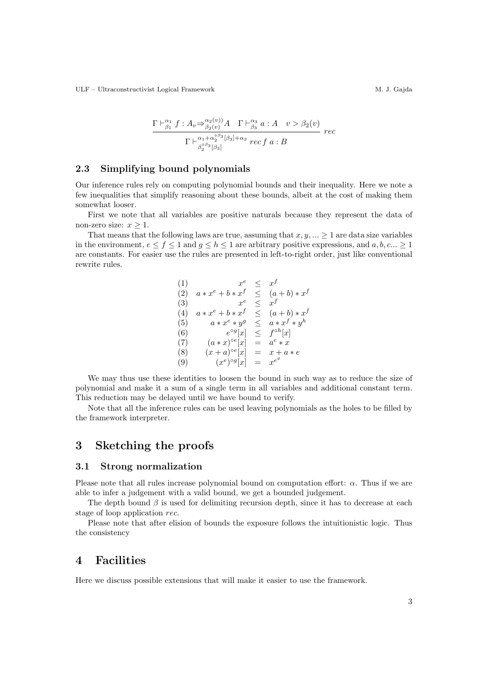ULF – Ultraconstructivist Logical Framework M. J. Gajda

$$
\frac{\Gamma \vdash^{\alpha_1}_{\beta_1} f : A_v \Rightarrow^{\alpha_2(v)}_{\beta_2(v)} A \quad \Gamma \vdash^{\alpha_3}_{\beta_3} a : A \quad v > \beta_2(v)}{\Gamma \vdash^{\alpha_1 + \alpha_2^{\circ \beta_3}[\beta_3] + \alpha_3} rec f a : B} rec
$$

### 2.3 Simplifying bound polynomials

Our inference rules rely on computing polynomial bounds and their inequality. Here we note a few inequalities that simplify reasoning about these bounds, albeit at the cost of making them somewhat looser.

First we note that all variables are positive naturals because they represent the data of non-zero size:  $x > 1$ .

That means that the following laws are true, assuming that  $x, y, ... \geq 1$  are data size variables in the environment,  $e \le f \le 1$  and  $g \le h \le 1$  are arbitrary positive expressions, and  $a, b, c... \ge 1$ are constants. For easier use the rules are presented in left-to-right order, just like conventional rewrite rules.

(1) 
$$
x^e \leq x^f
$$
  
\n(2)  $a * x^e + b * x^f \leq (a+b) * x^f$   
\n(3)  $x^e \leq x^f$   
\n(4)  $a * x^e + b * x^f \leq (a+b) * x^f$   
\n(5)  $a * x^e * y^g \leq a * x^f * y^h$   
\n(6)  $e^{og}[x] \leq f^{oh}[x]$   
\n(7)  $(a * x)^{oe}[x] = a^e * x$   
\n(8)  $(x+a)^{oe}[x] = x + a * e$   
\n(9)  $(x^e)^{og}[x] = x^{e^g}$ 

We may thus use these identities to loosen the bound in such way as to reduce the size of polynomial and make it a sum of a single term in all variables and additional constant term. This reduction may be delayed until we have bound to verify.

Note that all the inference rules can be used leaving polynomials as the holes to be filled by the framework interpreter.

# 3 Sketching the proofs

#### 3.1 Strong normalization

Please note that all rules increase polynomial bound on computation effort:  $\alpha$ . Thus if we are able to infer a judgement with a valid bound, we get a bounded judgement.

The depth bound  $\beta$  is used for delimiting recursion depth, since it has to decrease at each stage of loop application rec.

Please note that after elision of bounds the exposure follows the intuitionistic logic. Thus the consistency

### 4 Facilities

Here we discuss possible extensions that will make it easier to use the framework.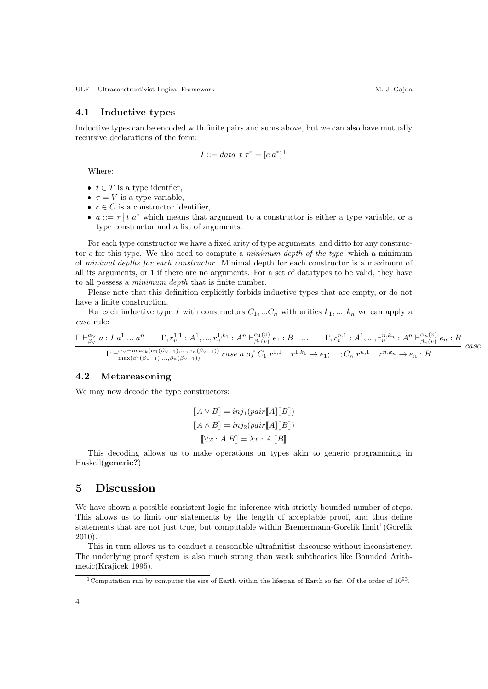ULF – Ultraconstructivist Logical Framework M. J. Gajda

### 4.1 Inductive types

Inductive types can be encoded with finite pairs and sums above, but we can also have mutually recursive declarations of the form:

$$
I ::= data \ t \ \tau^* = [c \ a^*]^+
$$

Where:

- $t \in T$  is a type identifier,
- $\tau = V$  is a type variable,
- $c \in C$  is a constructor identifier,
- $a ::= \tau | t a^*$  which means that argument to a constructor is either a type variable, or a type constructor and a list of arguments.

For each type constructor we have a fixed arity of type arguments, and ditto for any constructor c for this type. We also need to compute a minimum depth of the type, which a minimum of minimal depths for each constructor. Minimal depth for each constructor is a maximum of all its arguments, or 1 if there are no arguments. For a set of datatypes to be valid, they have to all possess a minimum depth that is finite number.

Please note that this definition explicitly forbids inductive types that are empty, or do not have a finite construction.

For each inductive type I with constructors  $C_1, ... C_n$  with arities  $k_1, ..., k_n$  we can apply a case rule:

$$
\frac{\Gamma \vdash^{\alpha_{\vee}}_{\beta_{\vee}} a: I a^{1} \dots a^{n} \Gamma, r_{v}^{1,1} : A^{1}, ..., r_{v}^{1,k_{1}} : A^{n} \vdash^{\alpha_{1}(v)}_{\beta_{1}(v)} e_{1} : B \dots \Gamma, r_{v}^{n,1} : A^{1}, ..., r_{v}^{n,k_{n}} : A^{n} \vdash^{\alpha_{n}(v)}_{\beta_{n}(v)} e_{n} : B}{\Gamma \vdash^{\alpha_{\vee}+max_{k}(\alpha_{1}(\beta_{\vee-1}), ..., \alpha_{n}(\beta_{\vee-1}))} case a \text{ of } C_{1} r^{1,1} ... r^{1,k_{1}} \rightarrow e_{1}; ..., C_{n} r^{n,1} ... r^{n,k_{n}} \rightarrow e_{n} : B} case
$$

### 4.2 Metareasoning

We may now decode the type constructors:

$$
[\![A \vee B]\!] = inj_1(pair[\![A]\!] [\![B]\!])
$$

$$
[\![A \wedge B]\!] = inj_2(pair[\![A]\!] [\![B]\!])
$$

$$
[\![\forall x : A.B]\!] = \lambda x : A.[\![B]\!]
$$

This decoding allows us to make operations on types akin to generic programming in Haskell(generic?)

# 5 Discussion

We have shown a possible consistent logic for inference with strictly bounded number of steps. This allows us to limit our statements by the length of acceptable proof, and thus define statements that are not just true, but computable within Bremermann-Gorelik  $\text{limit}^{1}(\text{Gorelik})$  $\text{limit}^{1}(\text{Gorelik})$  $\text{limit}^{1}(\text{Gorelik})$ 2010).

This in turn allows us to conduct a reasonable ultrafinitist discourse without inconsistency. The underlying proof system is also much strong than weak subtheories like Bounded Arithmetic(Krajicek 1995).

<span id="page-3-0"></span><sup>&</sup>lt;sup>1</sup>Computation run by computer the size of Earth within the lifespan of Earth so far. Of the order of  $10^{93}$ .